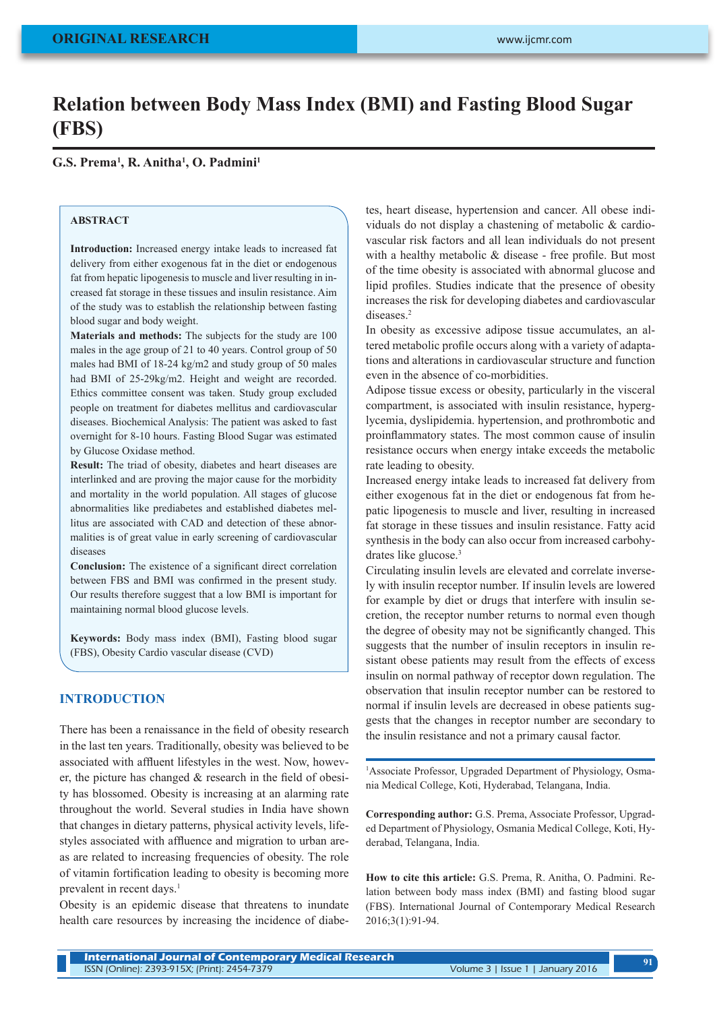# **Relation between Body Mass Index (BMI) and Fasting Blood Sugar (FBS)**

**G.S. Prema1 , R. Anitha1 , O. Padmini1**

#### **ABSTRACT**

**Introduction:** Increased energy intake leads to increased fat delivery from either exogenous fat in the diet or endogenous fat from hepatic lipogenesis to muscle and liver resulting in increased fat storage in these tissues and insulin resistance. Aim of the study was to establish the relationship between fasting blood sugar and body weight.

**Materials and methods:** The subjects for the study are 100 males in the age group of 21 to 40 years. Control group of 50 males had BMI of 18-24 kg/m2 and study group of 50 males had BMI of 25-29kg/m2. Height and weight are recorded. Ethics committee consent was taken. Study group excluded people on treatment for diabetes mellitus and cardiovascular diseases. Biochemical Analysis: The patient was asked to fast overnight for 8-10 hours. Fasting Blood Sugar was estimated by Glucose Oxidase method.

**Result:** The triad of obesity, diabetes and heart diseases are interlinked and are proving the major cause for the morbidity and mortality in the world population. All stages of glucose abnormalities like prediabetes and established diabetes mellitus are associated with CAD and detection of these abnormalities is of great value in early screening of cardiovascular diseases

**Conclusion:** The existence of a significant direct correlation between FBS and BMI was confirmed in the present study. Our results therefore suggest that a low BMI is important for maintaining normal blood glucose levels.

**Keywords:** Body mass index (BMI), Fasting blood sugar (FBS), Obesity Cardio vascular disease (CVD)

#### **INTRODUCTION**

There has been a renaissance in the field of obesity research in the last ten years. Traditionally, obesity was believed to be associated with affluent lifestyles in the west. Now, however, the picture has changed & research in the field of obesity has blossomed. Obesity is increasing at an alarming rate throughout the world. Several studies in India have shown that changes in dietary patterns, physical activity levels, lifestyles associated with affluence and migration to urban areas are related to increasing frequencies of obesity. The role of vitamin fortification leading to obesity is becoming more prevalent in recent days.<sup>1</sup>

Obesity is an epidemic disease that threatens to inundate health care resources by increasing the incidence of diabetes, heart disease, hypertension and cancer. All obese individuals do not display a chastening of metabolic & cardiovascular risk factors and all lean individuals do not present with a healthy metabolic & disease - free profile. But most of the time obesity is associated with abnormal glucose and lipid profiles. Studies indicate that the presence of obesity increases the risk for developing diabetes and cardiovascular diseases.<sup>2</sup>

In obesity as excessive adipose tissue accumulates, an altered metabolic profile occurs along with a variety of adaptations and alterations in cardiovascular structure and function even in the absence of co-morbidities.

Adipose tissue excess or obesity, particularly in the visceral compartment, is associated with insulin resistance, hyperglycemia, dyslipidemia. hypertension, and prothrombotic and proinflammatory states. The most common cause of insulin resistance occurs when energy intake exceeds the metabolic rate leading to obesity.

Increased energy intake leads to increased fat delivery from either exogenous fat in the diet or endogenous fat from hepatic lipogenesis to muscle and liver, resulting in increased fat storage in these tissues and insulin resistance. Fatty acid synthesis in the body can also occur from increased carbohydrates like glucose.3

Circulating insulin levels are elevated and correlate inversely with insulin receptor number. If insulin levels are lowered for example by diet or drugs that interfere with insulin secretion, the receptor number returns to normal even though the degree of obesity may not be significantly changed. This suggests that the number of insulin receptors in insulin resistant obese patients may result from the effects of excess insulin on normal pathway of receptor down regulation. The observation that insulin receptor number can be restored to normal if insulin levels are decreased in obese patients suggests that the changes in receptor number are secondary to the insulin resistance and not a primary causal factor.

<sup>1</sup>Associate Professor, Upgraded Department of Physiology, Osmania Medical College, Koti, Hyderabad, Telangana, India.

**Corresponding author:** G.S. Prema, Associate Professor, Upgraded Department of Physiology, Osmania Medical College, Koti, Hyderabad, Telangana, India.

**How to cite this article:** G.S. Prema, R. Anitha, O. Padmini. Relation between body mass index (BMI) and fasting blood sugar (FBS). International Journal of Contemporary Medical Research 2016;3(1):91-94.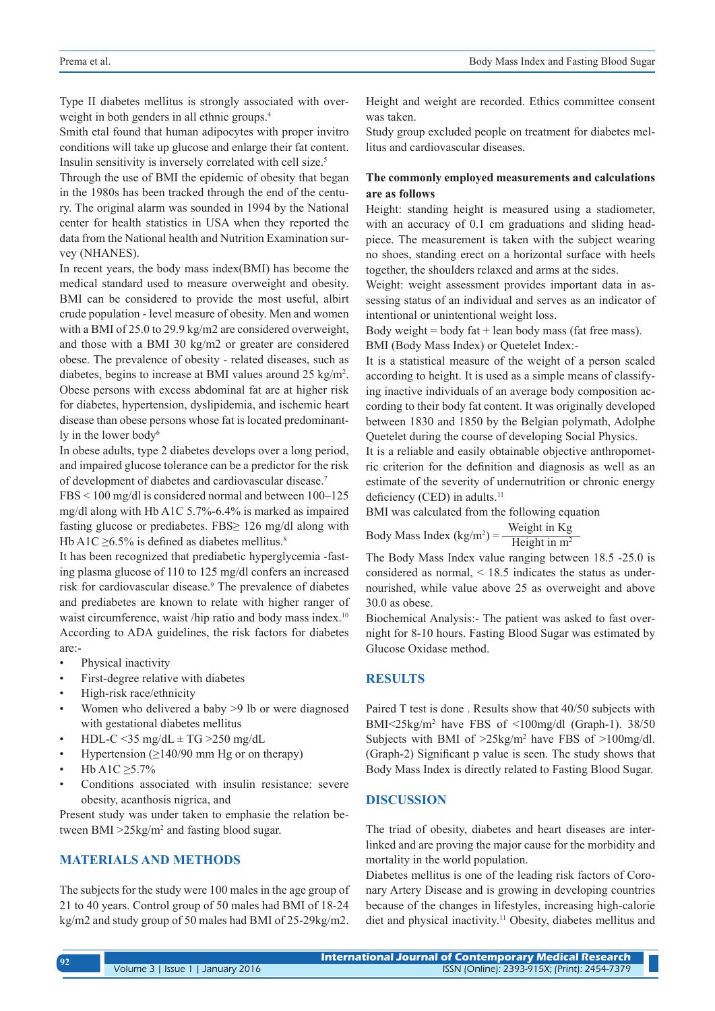Type II diabetes mellitus is strongly associated with overweight in both genders in all ethnic groups.<sup>4</sup>

Smith etal found that human adipocytes with proper invitro conditions will take up glucose and enlarge their fat content. Insulin sensitivity is inversely correlated with cell size.5

Through the use of BMI the epidemic of obesity that began in the 1980s has been tracked through the end of the century. The original alarm was sounded in 1994 by the National center for health statistics in USA when they reported the data from the National health and Nutrition Examination survey (NHANES).

In recent years, the body mass index(BMI) has become the medical standard used to measure overweight and obesity. BMI can be considered to provide the most useful, albirt crude population - level measure of obesity. Men and women with a BMI of 25.0 to 29.9 kg/m2 are considered overweight, and those with a BMI 30 kg/m2 or greater are considered obese. The prevalence of obesity - related diseases, such as diabetes, begins to increase at BMI values around 25 kg/m2 . Obese persons with excess abdominal fat are at higher risk for diabetes, hypertension, dyslipidemia, and ischemic heart disease than obese persons whose fat is located predominantly in the lower body<sup>6</sup>

In obese adults, type 2 diabetes develops over a long period, and impaired glucose tolerance can be a predictor for the risk of development of diabetes and cardiovascular disease.7

FBS < 100 mg/dl is considered normal and between 100–125 mg/dl along with Hb A1C 5.7%-6.4% is marked as impaired fasting glucose or prediabetes. FBS≥ 126 mg/dl along with Hb A1C  $\geq$ 6.5% is defined as diabetes mellitus.<sup>8</sup>

It has been recognized that prediabetic hyperglycemia -fasting plasma glucose of 110 to 125 mg/dl confers an increased risk for cardiovascular disease.<sup>9</sup> The prevalence of diabetes and prediabetes are known to relate with higher ranger of waist circumference, waist /hip ratio and body mass index.<sup>10</sup> According to ADA guidelines, the risk factors for diabetes are:-

- Physical inactivity
- First-degree relative with diabetes
- High-risk race/ethnicity
- Women who delivered a baby >9 lb or were diagnosed with gestational diabetes mellitus
- HDL-C <35 mg/dL  $\pm$  TG >250 mg/dL
- Hypertension  $(≥140/90$  mm Hg or on therapy)
- Hb A1C ≥5.7%
- Conditions associated with insulin resistance: severe obesity, acanthosis nigrica, and

Present study was under taken to emphasie the relation between BMI >25kg/m<sup>2</sup> and fasting blood sugar.

# **MATERIALS AND METHODS**

The subjects for the study were 100 males in the age group of 21 to 40 years. Control group of 50 males had BMI of 18-24 kg/m2 and study group of 50 males had BMI of 25-29kg/m2.

Height and weight are recorded. Ethics committee consent was taken.

Study group excluded people on treatment for diabetes mellitus and cardiovascular diseases.

## **The commonly employed measurements and calculations are as follows**

Height: standing height is measured using a stadiometer, with an accuracy of 0.1 cm graduations and sliding headpiece. The measurement is taken with the subject wearing no shoes, standing erect on a horizontal surface with heels together, the shoulders relaxed and arms at the sides.

Weight: weight assessment provides important data in assessing status of an individual and serves as an indicator of intentional or unintentional weight loss.

Body weight = body fat + lean body mass (fat free mass). BMI (Body Mass Index) or Quetelet Index:-

It is a statistical measure of the weight of a person scaled according to height. It is used as a simple means of classifying inactive individuals of an average body composition according to their body fat content. It was originally developed between 1830 and 1850 by the Belgian polymath, Adolphe Quetelet during the course of developing Social Physics.

It is a reliable and easily obtainable objective anthropometric criterion for the definition and diagnosis as well as an estimate of the severity of undernutrition or chronic energy deficiency (CED) in adults.<sup>11</sup>

BMI was calculated from the following equation

Body Mass Index (kg/m<sup>2</sup>) = 
$$
\frac{\text{Weight in Kg}}{\text{Height in m}^2}
$$

The Body Mass Index value ranging between 18.5 -25.0 is considered as normal, < 18.5 indicates the status as undernourished, while value above 25 as overweight and above 30.0 as obese.

Biochemical Analysis:- The patient was asked to fast overnight for 8-10 hours. Fasting Blood Sugar was estimated by Glucose Oxidase method.

# **RESULTS**

Paired T test is done . Results show that 40/50 subjects with BMI<25kg/m2 have FBS of <100mg/dl (Graph-1). 38/50 Subjects with BMI of  $>25\text{kg/m}^2$  have FBS of  $>100\text{mg/dl}$ . (Graph-2) Significant p value is seen. The study shows that Body Mass Index is directly related to Fasting Blood Sugar.

# **DISCUSSION**

The triad of obesity, diabetes and heart diseases are interlinked and are proving the major cause for the morbidity and mortality in the world population.

Diabetes mellitus is one of the leading risk factors of Coronary Artery Disease and is growing in developing countries because of the changes in lifestyles, increasing high-calorie diet and physical inactivity.11 Obesity, diabetes mellitus and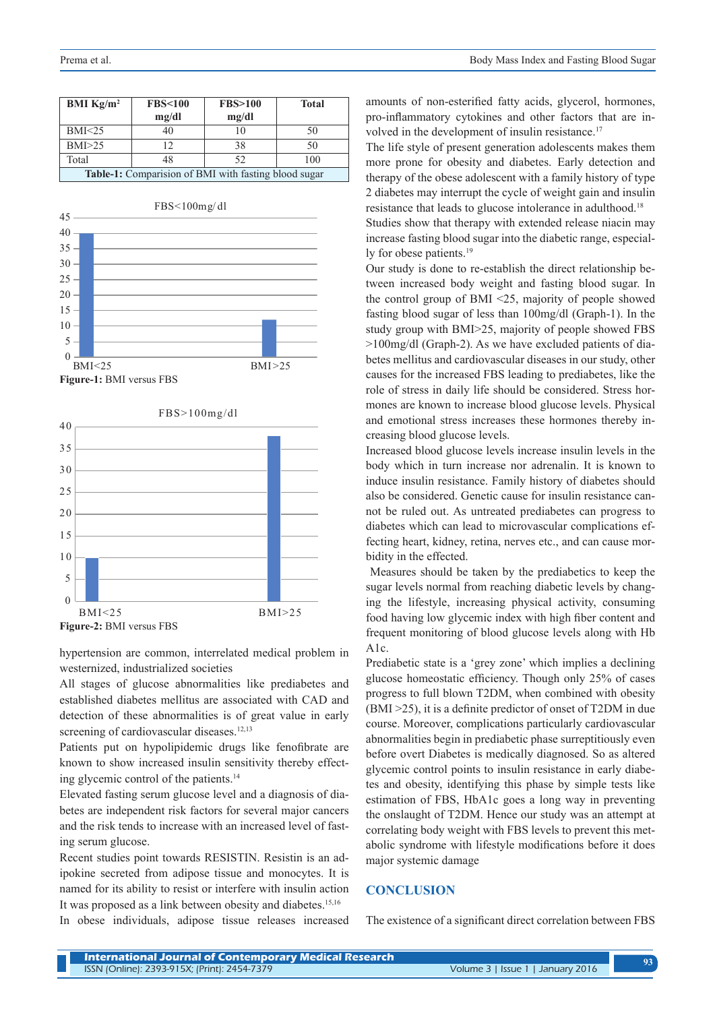| <b>BMI</b> $Kg/m^2$                                  | <b>FBS&lt;100</b> | <b>FBS&gt;100</b> | <b>Total</b> |
|------------------------------------------------------|-------------------|-------------------|--------------|
|                                                      | mg/dl             | mg/dl             |              |
| BMI < 25                                             | 40                | 10                | 50           |
| BMI>25                                               | 12                | 38                | 50           |
| Total                                                | 48                | 52                | 100          |
| Table-1: Comparision of BMI with fasting blood sugar |                   |                   |              |



 $\Omega$ 5 10 15 20 25 30 35 40 BMI<25 BMI>25 FBS>100mg/dl **Figure-2:** BMI versus FBS

hypertension are common, interrelated medical problem in westernized, industrialized societies

All stages of glucose abnormalities like prediabetes and established diabetes mellitus are associated with CAD and detection of these abnormalities is of great value in early screening of cardiovascular diseases.<sup>12,13</sup>

Patients put on hypolipidemic drugs like fenofibrate are known to show increased insulin sensitivity thereby effecting glycemic control of the patients.14

Elevated fasting serum glucose level and a diagnosis of diabetes are independent risk factors for several major cancers and the risk tends to increase with an increased level of fasting serum glucose.

Recent studies point towards RESISTIN. Resistin is an adipokine secreted from adipose tissue and monocytes. It is named for its ability to resist or interfere with insulin action It was proposed as a link between obesity and diabetes.15,16

In obese individuals, adipose tissue releases increased

amounts of non-esterified fatty acids, glycerol, hormones, pro-inflammatory cytokines and other factors that are involved in the development of insulin resistance.<sup>17</sup>

The life style of present generation adolescents makes them more prone for obesity and diabetes. Early detection and therapy of the obese adolescent with a family history of type 2 diabetes may interrupt the cycle of weight gain and insulin resistance that leads to glucose intolerance in adulthood.18

Studies show that therapy with extended release niacin may increase fasting blood sugar into the diabetic range, especially for obese patients.<sup>19</sup>

Our study is done to re-establish the direct relationship between increased body weight and fasting blood sugar. In the control group of BMI <25, majority of people showed fasting blood sugar of less than 100mg/dl (Graph-1). In the study group with BMI>25, majority of people showed FBS >100mg/dl (Graph-2). As we have excluded patients of diabetes mellitus and cardiovascular diseases in our study, other causes for the increased FBS leading to prediabetes, like the role of stress in daily life should be considered. Stress hormones are known to increase blood glucose levels. Physical and emotional stress increases these hormones thereby increasing blood glucose levels.

Increased blood glucose levels increase insulin levels in the body which in turn increase nor adrenalin. It is known to induce insulin resistance. Family history of diabetes should also be considered. Genetic cause for insulin resistance cannot be ruled out. As untreated prediabetes can progress to diabetes which can lead to microvascular complications effecting heart, kidney, retina, nerves etc., and can cause morbidity in the effected.

 Measures should be taken by the prediabetics to keep the sugar levels normal from reaching diabetic levels by changing the lifestyle, increasing physical activity, consuming food having low glycemic index with high fiber content and frequent monitoring of blood glucose levels along with Hb A1c.

Prediabetic state is a 'grey zone' which implies a declining glucose homeostatic efficiency. Though only 25% of cases progress to full blown T2DM, when combined with obesity (BMI >25), it is a definite predictor of onset of T2DM in due course. Moreover, complications particularly cardiovascular abnormalities begin in prediabetic phase surreptitiously even before overt Diabetes is medically diagnosed. So as altered glycemic control points to insulin resistance in early diabetes and obesity, identifying this phase by simple tests like estimation of FBS, HbA1c goes a long way in preventing the onslaught of T2DM. Hence our study was an attempt at correlating body weight with FBS levels to prevent this metabolic syndrome with lifestyle modifications before it does major systemic damage

#### **CONCLUSION**

The existence of a significant direct correlation between FBS